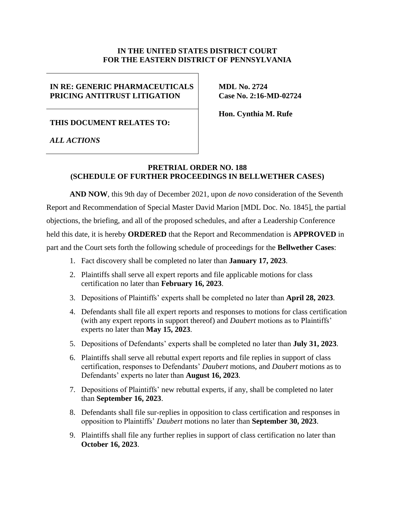# **IN THE UNITED STATES DISTRICT COURT FOR THE EASTERN DISTRICT OF PENNSYLVANIA**

# **IN RE: GENERIC PHARMACEUTICALS PRICING ANTITRUST LITIGATION**

**MDL No. 2724 Case No. 2:16-MD-02724**

**THIS DOCUMENT RELATES TO:**

**Hon. Cynthia M. Rufe**

*ALL ACTIONS*

# **PRETRIAL ORDER NO. 188 (SCHEDULE OF FURTHER PROCEEDINGS IN BELLWETHER CASES)**

**AND NOW**, this 9th day of December 2021, upon *de novo* consideration of the Seventh Report and Recommendation of Special Master David Marion [MDL Doc. No. 1845], the partial objections, the briefing, and all of the proposed schedules, and after a Leadership Conference held this date, it is hereby **ORDERED** that the Report and Recommendation is **APPROVED** in part and the Court sets forth the following schedule of proceedings for the **Bellwether Cases**:

- 1. Fact discovery shall be completed no later than **January 17, 2023**.
- 2. Plaintiffs shall serve all expert reports and file applicable motions for class certification no later than **February 16, 2023**.
- 3. Depositions of Plaintiffs' experts shall be completed no later than **April 28, 2023**.
- 4. Defendants shall file all expert reports and responses to motions for class certification (with any expert reports in support thereof) and *Daubert* motions as to Plaintiffs' experts no later than **May 15, 2023**.
- 5. Depositions of Defendants' experts shall be completed no later than **July 31, 2023**.
- 6. Plaintiffs shall serve all rebuttal expert reports and file replies in support of class certification, responses to Defendants' *Daubert* motions, and *Daubert* motions as to Defendants' experts no later than **August 16, 2023***.*
- 7. Depositions of Plaintiffs' new rebuttal experts, if any, shall be completed no later than **September 16, 2023**.
- 8. Defendants shall file sur-replies in opposition to class certification and responses in opposition to Plaintiffs' *Daubert* motions no later than **September 30, 2023**.
- 9. Plaintiffs shall file any further replies in support of class certification no later than **October 16, 2023**.